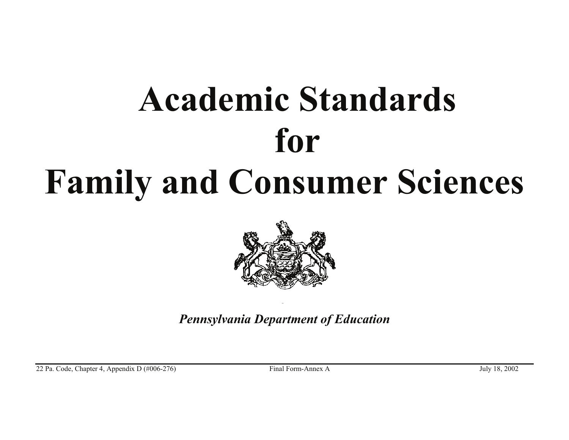# **Family and Consumer Sciences Academic Standards for**



*Pennsylvania Department of Education*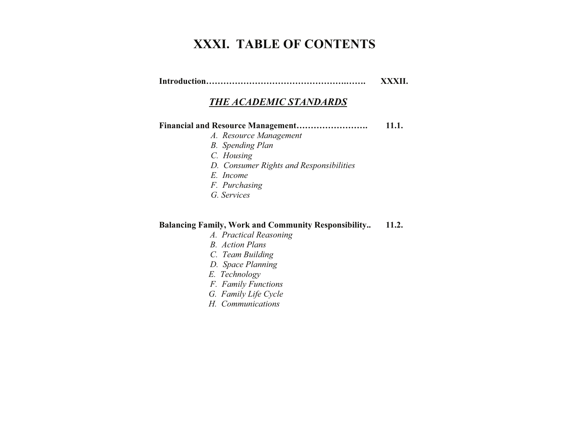## **XXXI. TABLE OF CONTENTS**

**Introduction………………………………………….……. XXXII.** 

### *THE ACADEMIC STANDARDS*

#### **Financial and Resource Management……………………. 11.1.**

- *A. Resource Management*
- *B. Spending Plan*
- *C. Housing*
- *D. Consumer Rights and Responsibilities*
- *E. Income*
- *F. Purchasing*
- *G. Services*

#### **Balancing Family, Work and Community Responsibility.. 11.2.**

- *A. Practical Reasoning*
- *B. Action Plans*
- *C. Team Building*
- *D. Space Planning*
- *E. Technology*
- *F. Family Functions*
- *G. Family Life Cycle*
- *H. Communications*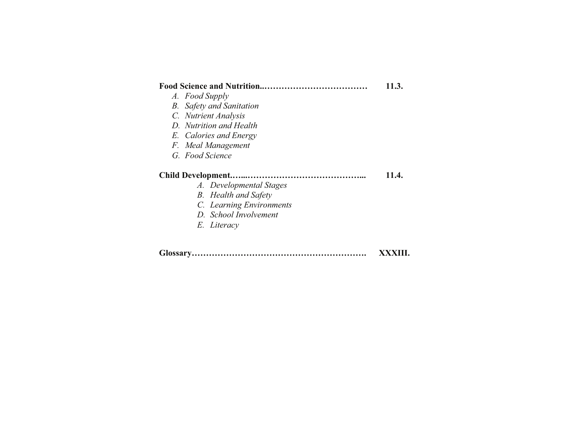#### **Food Science and Nutrition..……………………………… 11.3.**

- *A. Food Supply*
- *B. Safety and Sanitation*
- *C. Nutrient Analysis*
- *D. Nutrition and Health*
- *E. Calories and Energy*
- *F. Meal Management*
- *G. Food Science*

#### **Child Development.…...…………………………………... 11.4.**

- *A. Developmental Stages*
- *B. Health and Safety*
- *C. Learning Environments*
- *D. School Involvement*
- *E. Literacy*

| XXXIII. |
|---------|
|         |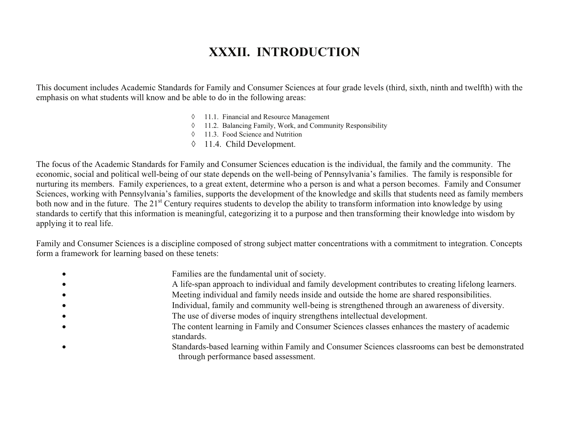## **XXXII. INTRODUCTION**

XXXII. INTRODUCTION<br>This document includes Academic Standards for Family and Consumer Sciences at four grade levels (third, sixth, ninth and twelfth) with the emphasis on what students will know and be able to do in the following areas:

- $\Diamond$  11.1. Financial and Resource Management
- $\lozenge$  11.2. Balancing Family, Work, and Community Responsibility
- $\Diamond$  11.3. Food Science and Nutrition
- $\lozenge$  11.4. Child Development.

The focus of the Academic Standards for Family and Consumer Sciences education is the individual, the family and the community. The economic, social and political well-being of our state depends on the well-being of Pennsy economic, social and political well-being of our state depends on the well-being of Pennsylvania's families. The family is responsible for nurturing its members. Family experiences, to a great extent, determine who a person is and what a person becomes. Family and Consumer Sciences, working with Pennsylvania's families, supports the development of the knowledge and skills that students need as family members both now and in the future. The 21<sup>st</sup> Century requires students to develop the ability to transform information into knowledge by using standards to certify that this information is meaningful, categorizing it to a purpose and then transforming their knowledge into wisdom by applying it to real life.

Family and Consumer Sciences is a discipline composed of strong subject matter concentrations with a commitment to integration. Concepts form a framework for learning based on these tenets:

- **Families are the fundamental unit of society.**
- A life-span approach to individual and family development contributes to creating lifelong learners.
- Meeting individual and family needs inside and outside the home are shared responsibilities.
- Individual, family and community well-being is strengthened through an awareness of diversity.
- The use of diverse modes of inquiry strengthens intellectual development.
- The content learning in Family and Consumer Sciences classes enhances the mastery of academic standards.
- Standards-based learning within Family and Consumer Sciences classrooms can best be demonstrated through performance based assessment.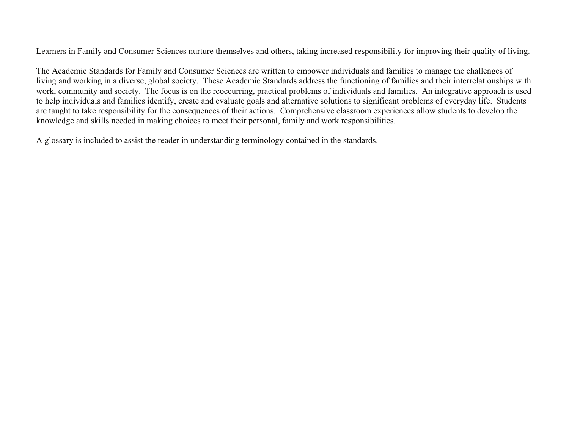Learners in Family and Consumer Sciences nurture themselves and others, taking increased responsibility for improving their quality of living.

earn<br>he *l*<br>ving The Academic Standards for Family and Consumer Sciences are written to empower individuals and families to manage the challenges of living and working in a diverse, global society. These Academic Standards address the functioning of families and their interrelationships with work, community and society. The focus is on the reoccurring, practical problems of individuals and families. An integrative approach is used to help individuals and families identify, create and evaluate goals and alternative solutions to significant problems of everyday life. Students are taught to take responsibility for the consequences of their actions. Comprehensive classroom experiences allow students to develop the knowledge and skills needed in making choices to meet their personal, family and work responsibilities.

A glossary is included to assist the reader in understanding terminology contained in the standards.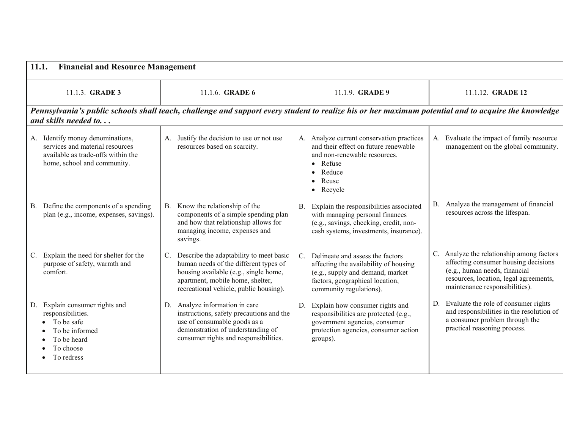| 11.1.                                                                                                                                    | <b>Financial and Resource Management</b>                                                                                                                                                                      |                                                                                                                                                                                            |                                                                                                                                                                                                |  |  |  |  |
|------------------------------------------------------------------------------------------------------------------------------------------|---------------------------------------------------------------------------------------------------------------------------------------------------------------------------------------------------------------|--------------------------------------------------------------------------------------------------------------------------------------------------------------------------------------------|------------------------------------------------------------------------------------------------------------------------------------------------------------------------------------------------|--|--|--|--|
| 11.1.3. <b>GRADE 3</b>                                                                                                                   | 11.1.6. <b>GRADE 6</b>                                                                                                                                                                                        | 11.1.9. <b>GRADE 9</b>                                                                                                                                                                     | 11.1.12. <b>GRADE 12</b>                                                                                                                                                                       |  |  |  |  |
| and skills needed to                                                                                                                     | Pennsylvania's public schools shall teach, challenge and support every student to realize his or her maximum potential and to acquire the knowledge                                                           |                                                                                                                                                                                            |                                                                                                                                                                                                |  |  |  |  |
| A. Identify money denominations,<br>services and material resources<br>available as trade-offs within the<br>home, school and community. | Justify the decision to use or not use<br>А.<br>resources based on scarcity.                                                                                                                                  | A. Analyze current conservation practices<br>and their effect on future renewable<br>and non-renewable resources.<br>Refuse<br>Reduce<br>Reuse<br>Recycle<br>$\bullet$                     | A. Evaluate the impact of family resource<br>management on the global community.                                                                                                               |  |  |  |  |
| B. Define the components of a spending<br>plan (e.g., income, expenses, savings).                                                        | Know the relationship of the<br>B.<br>components of a simple spending plan<br>and how that relationship allows for<br>managing income, expenses and<br>savings.                                               | Explain the responsibilities associated<br><b>B.</b><br>with managing personal finances<br>(e.g., savings, checking, credit, non-<br>cash systems, investments, insurance).                | B. Analyze the management of financial<br>resources across the lifespan.                                                                                                                       |  |  |  |  |
| C. Explain the need for shelter for the<br>purpose of safety, warmth and<br>comfort.                                                     | Describe the adaptability to meet basic<br>C.<br>human needs of the different types of<br>housing available (e.g., single home,<br>apartment, mobile home, shelter,<br>recreational vehicle, public housing). | Delineate and assess the factors<br>$C_{\cdot}$<br>affecting the availability of housing<br>(e.g., supply and demand, market<br>factors, geographical location,<br>community regulations). | C. Analyze the relationship among factors<br>affecting consumer housing decisions<br>(e.g., human needs, financial<br>resources, location, legal agreements,<br>maintenance responsibilities). |  |  |  |  |
| D. Explain consumer rights and<br>responsibilities.<br>To be safe<br>To be informed<br>To be heard<br>To choose<br>To redress            | D. Analyze information in care<br>instructions, safety precautions and the<br>use of consumable goods as a<br>demonstration of understanding of<br>consumer rights and responsibilities.                      | Explain how consumer rights and<br>D.<br>responsibilities are protected (e.g.,<br>government agencies, consumer<br>protection agencies, consumer action<br>groups).                        | Evaluate the role of consumer rights<br>D.<br>and responsibilities in the resolution of<br>a consumer problem through the<br>practical reasoning process.                                      |  |  |  |  |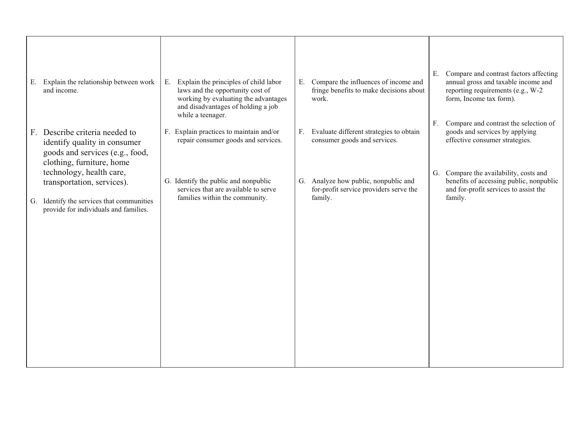|    | E. Explain the relationship between work<br>and income.                                                                                      | Explain the principles of child labor<br>Е.<br>laws and the opportunity cost of<br>working by evaluating the advantages<br>and disadvantages of holding a job<br>while a teenager. | Е. | Compare the influences of income and<br>fringe benefits to make decisions about<br>work.  | Е. | Compare and contrast factors affecting<br>annual gross and taxable income and<br>reporting requirements (e.g., W-2<br>form, Income tax form). |
|----|----------------------------------------------------------------------------------------------------------------------------------------------|------------------------------------------------------------------------------------------------------------------------------------------------------------------------------------|----|-------------------------------------------------------------------------------------------|----|-----------------------------------------------------------------------------------------------------------------------------------------------|
| F. | Describe criteria needed to<br>identify quality in consumer<br>goods and services (e.g., food,<br>clothing, furniture, home                  | F. Explain practices to maintain and/or<br>repair consumer goods and services.                                                                                                     | F. | Evaluate different strategies to obtain<br>consumer goods and services.                   | F. | Compare and contrast the selection of<br>goods and services by applying<br>effective consumer strategies.                                     |
|    | technology, health care,<br>transportation, services).<br>G. Identify the services that communities<br>provide for individuals and families. | G. Identify the public and nonpublic<br>services that are available to serve<br>families within the community.                                                                     |    | G. Analyze how public, nonpublic and<br>for-profit service providers serve the<br>family. |    | G. Compare the availability, costs and<br>benefits of accessing public, nonpublic<br>and for-profit services to assist the<br>family.         |
|    |                                                                                                                                              |                                                                                                                                                                                    |    |                                                                                           |    |                                                                                                                                               |
|    |                                                                                                                                              |                                                                                                                                                                                    |    |                                                                                           |    |                                                                                                                                               |
|    |                                                                                                                                              |                                                                                                                                                                                    |    |                                                                                           |    |                                                                                                                                               |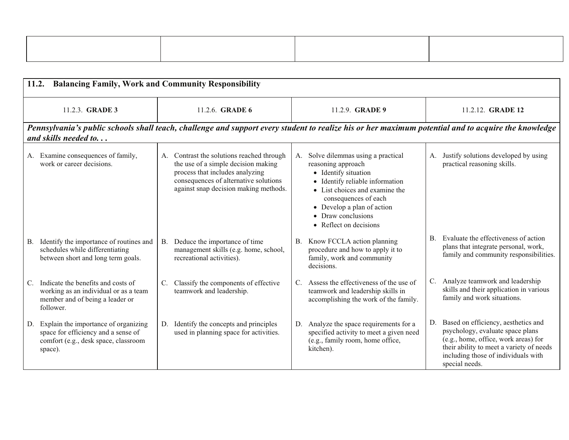| 11.2. Balancing Family, Work and Community Responsibility |  |  |
|-----------------------------------------------------------|--|--|

| 11.2.   | <b>Balancing Family, Work and Community Responsibility</b>                                                                  |           |                                                                                                                                                                                                       |             |                                                                                                                                                                                                                                                           |    |                                                                                                                                                                                                                      |
|---------|-----------------------------------------------------------------------------------------------------------------------------|-----------|-------------------------------------------------------------------------------------------------------------------------------------------------------------------------------------------------------|-------------|-----------------------------------------------------------------------------------------------------------------------------------------------------------------------------------------------------------------------------------------------------------|----|----------------------------------------------------------------------------------------------------------------------------------------------------------------------------------------------------------------------|
|         | 11.2.3. <b>GRADE 3</b>                                                                                                      |           | 11.2.6. <b>GRADE 6</b>                                                                                                                                                                                |             | 11.2.9. <b>GRADE 9</b>                                                                                                                                                                                                                                    |    | 11.2.12. <b>GRADE 12</b>                                                                                                                                                                                             |
|         | and skills needed to                                                                                                        |           | Pennsylvania's public schools shall teach, challenge and support every student to realize his or her maximum potential and to acquire the knowledge                                                   |             |                                                                                                                                                                                                                                                           |    |                                                                                                                                                                                                                      |
|         | A. Examine consequences of family,<br>work or career decisions.                                                             |           | A. Contrast the solutions reached through<br>the use of a simple decision making<br>process that includes analyzing<br>consequences of alternative solutions<br>against snap decision making methods. | А.          | Solve dilemmas using a practical<br>reasoning approach<br>• Identify situation<br>• Identify reliable information<br>• List choices and examine the<br>consequences of each<br>• Develop a plan of action<br>• Draw conclusions<br>• Reflect on decisions | А. | Justify solutions developed by using<br>practical reasoning skills.                                                                                                                                                  |
|         | B. Identify the importance of routines and<br>schedules while differentiating<br>between short and long term goals.         | <b>B.</b> | Deduce the importance of time<br>management skills (e.g. home, school,<br>recreational activities).                                                                                                   | B.          | Know FCCLA action planning<br>procedure and how to apply it to<br>family, work and community<br>decisions.                                                                                                                                                |    | B. Evaluate the effectiveness of action<br>plans that integrate personal, work,<br>family and community responsibilities.                                                                                            |
| C.      | Indicate the benefits and costs of<br>working as an individual or as a team<br>member and of being a leader or<br>follower. | C.        | Classify the components of effective<br>teamwork and leadership.                                                                                                                                      | $C_{\cdot}$ | Assess the effectiveness of the use of<br>teamwork and leadership skills in<br>accomplishing the work of the family.                                                                                                                                      |    | C. Analyze teamwork and leadership<br>skills and their application in various<br>family and work situations.                                                                                                         |
| space). | D. Explain the importance of organizing<br>space for efficiency and a sense of<br>comfort (e.g., desk space, classroom      | D.        | Identify the concepts and principles<br>used in planning space for activities.                                                                                                                        | D.          | Analyze the space requirements for a<br>specified activity to meet a given need<br>(e.g., family room, home office,<br>kitchen).                                                                                                                          | D. | Based on efficiency, aesthetics and<br>psychology, evaluate space plans<br>(e.g., home, office, work areas) for<br>their ability to meet a variety of needs<br>including those of individuals with<br>special needs. |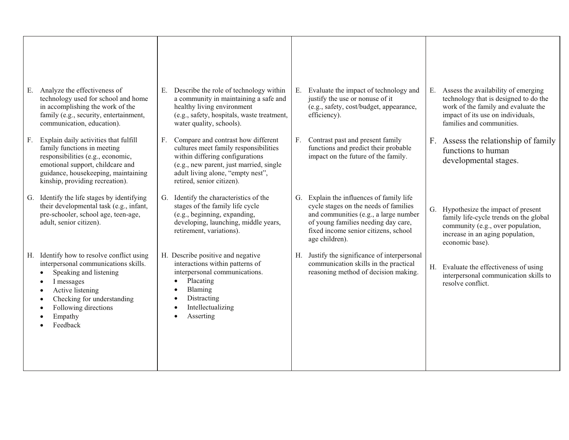| Analyze the effectiveness of<br>Е.<br>technology used for school and home<br>in accomplishing the work of the<br>family (e.g., security, entertainment,<br>communication, education).                                           | E. Describe the role of technology within<br>a community in maintaining a safe and<br>healthy living environment<br>(e.g., safety, hospitals, waste treatment,<br>water quality, schools).                                     | Evaluate the impact of technology and<br>E.<br>justify the use or nonuse of it<br>(e.g., safety, cost/budget, appearance,<br>efficiency).                                                                                      | Assess the availability of emerging<br>Е.<br>technology that is designed to do the<br>work of the family and evaluate the<br>impact of its use on individuals,<br>families and communities. |
|---------------------------------------------------------------------------------------------------------------------------------------------------------------------------------------------------------------------------------|--------------------------------------------------------------------------------------------------------------------------------------------------------------------------------------------------------------------------------|--------------------------------------------------------------------------------------------------------------------------------------------------------------------------------------------------------------------------------|---------------------------------------------------------------------------------------------------------------------------------------------------------------------------------------------|
| Explain daily activities that fulfill<br>F.<br>family functions in meeting<br>responsibilities (e.g., economic,<br>emotional support, childcare and<br>guidance, housekeeping, maintaining<br>kinship, providing recreation).   | F. Compare and contrast how different<br>cultures meet family responsibilities<br>within differing configurations<br>(e.g., new parent, just married, single<br>adult living alone, "empty nest",<br>retired, senior citizen). | Contrast past and present family<br>F.<br>functions and predict their probable<br>impact on the future of the family.                                                                                                          | F. Assess the relationship of family<br>functions to human<br>developmental stages.                                                                                                         |
| Identify the life stages by identifying<br>G.<br>their developmental task (e.g., infant,<br>pre-schooler, school age, teen-age,<br>adult, senior citizen).                                                                      | G. Identify the characteristics of the<br>stages of the family life cycle<br>(e.g., beginning, expanding,<br>developing, launching, middle years,<br>retirement, variations).                                                  | Explain the influences of family life<br>G.<br>cycle stages on the needs of families<br>and communities (e.g., a large number<br>of young families needing day care,<br>fixed income senior citizens, school<br>age children). | G. Hypothesize the impact of present<br>family life-cycle trends on the global<br>community (e.g., over population,<br>increase in an aging population,<br>economic base).                  |
| H. Identify how to resolve conflict using<br>interpersonal communications skills.<br>Speaking and listening<br>I messages<br>Active listening<br>٠<br>Checking for understanding<br>Following directions<br>Empathy<br>Feedback | H. Describe positive and negative<br>interactions within patterns of<br>interpersonal communications.<br>Placating<br>$\bullet$<br>Blaming<br>Distracting<br>Intellectualizing<br>Asserting<br>$\bullet$                       | Justify the significance of interpersonal<br>Н.<br>communication skills in the practical<br>reasoning method of decision making.                                                                                               | H. Evaluate the effectiveness of using<br>interpersonal communication skills to<br>resolve conflict.                                                                                        |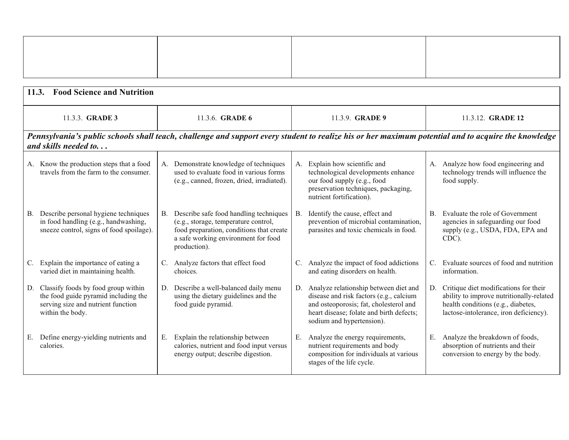| <b>Food Science and Nutrition</b><br>11.3.                                                                                               |                |                                                                                                                                                                                   |           |                                                                                                                                                                                                        |                                                                                                                                                                      |
|------------------------------------------------------------------------------------------------------------------------------------------|----------------|-----------------------------------------------------------------------------------------------------------------------------------------------------------------------------------|-----------|--------------------------------------------------------------------------------------------------------------------------------------------------------------------------------------------------------|----------------------------------------------------------------------------------------------------------------------------------------------------------------------|
| 11.3.3. <b>GRADE 3</b>                                                                                                                   |                | 11.3.6. <b>GRADE 6</b>                                                                                                                                                            |           | 11.3.9. <b>GRADE 9</b>                                                                                                                                                                                 | 11.3.12. <b>GRADE 12</b>                                                                                                                                             |
| and skills needed to                                                                                                                     |                | Pennsylvania's public schools shall teach, challenge and support every student to realize his or her maximum potential and to acquire the knowledge                               |           |                                                                                                                                                                                                        |                                                                                                                                                                      |
| A. Know the production steps that a food<br>travels from the farm to the consumer.                                                       |                | A. Demonstrate knowledge of techniques<br>used to evaluate food in various forms<br>(e.g., canned, frozen, dried, irradiated).                                                    |           | A. Explain how scientific and<br>technological developments enhance<br>our food supply (e.g., food<br>preservation techniques, packaging,<br>nutrient fortification).                                  | A. Analyze how food engineering and<br>technology trends will influence the<br>food supply.                                                                          |
| B. Describe personal hygiene techniques<br>in food handling (e.g., handwashing,<br>sneeze control, signs of food spoilage).              | В.             | Describe safe food handling techniques<br>(e.g., storage, temperature control,<br>food preparation, conditions that create<br>a safe working environment for food<br>production). | <b>B.</b> | Identify the cause, effect and<br>prevention of microbial contamination,<br>parasites and toxic chemicals in food.                                                                                     | B. Evaluate the role of Government<br>agencies in safeguarding our food<br>supply (e.g., USDA, FDA, EPA and<br>CDC).                                                 |
| C. Explain the importance of eating a<br>varied diet in maintaining health.                                                              | $\mathbf{C}$ . | Analyze factors that effect food<br>choices.                                                                                                                                      |           | C. Analyze the impact of food addictions<br>and eating disorders on health.                                                                                                                            | C. Evaluate sources of food and nutrition<br>information.                                                                                                            |
| D. Classify foods by food group within<br>the food guide pyramid including the<br>serving size and nutrient function<br>within the body. |                | D. Describe a well-balanced daily menu<br>using the dietary guidelines and the<br>food guide pyramid.                                                                             |           | D. Analyze relationship between diet and<br>disease and risk factors (e.g., calcium<br>and osteoporosis; fat, cholesterol and<br>heart disease; folate and birth defects;<br>sodium and hypertension). | D. Critique diet modifications for their<br>ability to improve nutritionally-related<br>health conditions (e.g., diabetes,<br>lactose-intolerance, iron deficiency). |
| E. Define energy-yielding nutrients and<br>calories.                                                                                     | Е.             | Explain the relationship between<br>calories, nutrient and food input versus<br>energy output; describe digestion.                                                                | E.        | Analyze the energy requirements,<br>nutrient requirements and body<br>composition for individuals at various<br>stages of the life cycle.                                                              | E. Analyze the breakdown of foods,<br>absorption of nutrients and their<br>conversion to energy by the body.                                                         |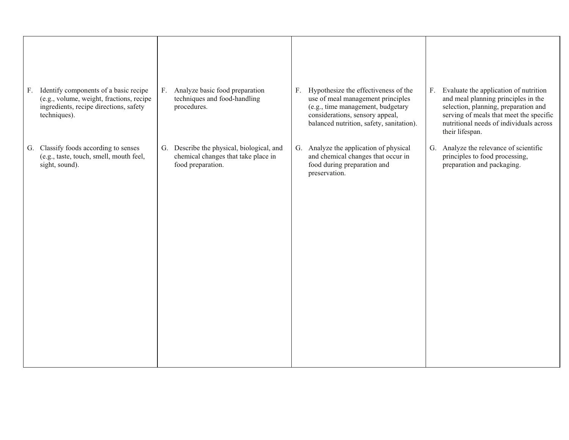| Identify components of a basic recipe<br>F.<br>(e.g., volume, weight, fractions, recipe<br>ingredients, recipe directions, safety<br>techniques). | F. Analyze basic food preparation<br>techniques and food-handling<br>procedures.                      | Hypothesize the effectiveness of the<br>F <sub>1</sub><br>use of meal management principles<br>(e.g., time management, budgetary<br>considerations, sensory appeal, | Evaluate the application of nutrition<br>$F_{\cdot}$<br>and meal planning principles in the<br>selection, planning, preparation and<br>serving of meals that meet the specific |
|---------------------------------------------------------------------------------------------------------------------------------------------------|-------------------------------------------------------------------------------------------------------|---------------------------------------------------------------------------------------------------------------------------------------------------------------------|--------------------------------------------------------------------------------------------------------------------------------------------------------------------------------|
|                                                                                                                                                   |                                                                                                       | balanced nutrition, safety, sanitation).                                                                                                                            | nutritional needs of individuals across<br>their lifespan.                                                                                                                     |
| G. Classify foods according to senses<br>(e.g., taste, touch, smell, mouth feel,<br>sight, sound).                                                | G. Describe the physical, biological, and<br>chemical changes that take place in<br>food preparation. | G. Analyze the application of physical<br>and chemical changes that occur in<br>food during preparation and<br>preservation.                                        | Analyze the relevance of scientific<br>G.<br>principles to food processing,<br>preparation and packaging.                                                                      |
|                                                                                                                                                   |                                                                                                       |                                                                                                                                                                     |                                                                                                                                                                                |
|                                                                                                                                                   |                                                                                                       |                                                                                                                                                                     |                                                                                                                                                                                |
|                                                                                                                                                   |                                                                                                       |                                                                                                                                                                     |                                                                                                                                                                                |
|                                                                                                                                                   |                                                                                                       |                                                                                                                                                                     |                                                                                                                                                                                |
|                                                                                                                                                   |                                                                                                       |                                                                                                                                                                     |                                                                                                                                                                                |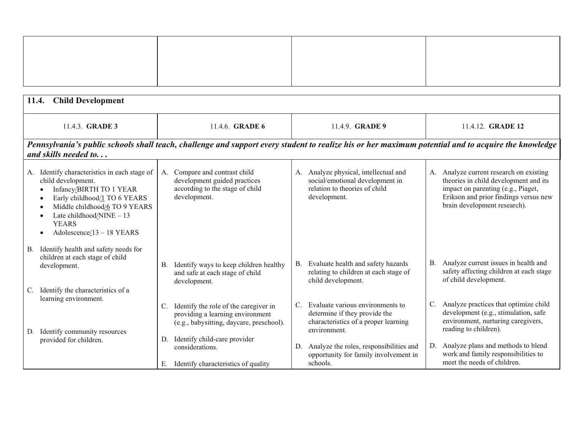| 11.4. Child Development                                                        |                                                                                                                                                                                                   |                                                                                                                                                     |             |                                                                                                                           |             |                                                                                                                                                                                              |
|--------------------------------------------------------------------------------|---------------------------------------------------------------------------------------------------------------------------------------------------------------------------------------------------|-----------------------------------------------------------------------------------------------------------------------------------------------------|-------------|---------------------------------------------------------------------------------------------------------------------------|-------------|----------------------------------------------------------------------------------------------------------------------------------------------------------------------------------------------|
|                                                                                | 11.4.3. <b>GRADE 3</b>                                                                                                                                                                            | 11.4.6. <b>GRADE 6</b>                                                                                                                              |             | 11.4.9. <b>GRADE 9</b>                                                                                                    |             | 11.4.12. <b>GRADE 12</b>                                                                                                                                                                     |
| and skills needed to                                                           |                                                                                                                                                                                                   | Pennsylvania's public schools shall teach, challenge and support every student to realize his or her maximum potential and to acquire the knowledge |             |                                                                                                                           |             |                                                                                                                                                                                              |
| child development.<br>٠<br>$\bullet$<br>$\bullet$<br><b>YEARS</b><br>$\bullet$ | A. Identify characteristics in each stage of<br>Infancy/BIRTH TO 1 YEAR<br>Early childhood/1 TO 6 YEARS<br>Middle childhood/6 TO 9 YEARS<br>Late childhood/NINE - 13<br>Adolescence/13 - 18 YEARS | Compare and contrast child<br>A.<br>development guided practices<br>according to the stage of child<br>development.                                 |             | A. Analyze physical, intellectual and<br>social/emotional development in<br>relation to theories of child<br>development. | A.          | Analyze current research on existing<br>theories in child development and its<br>impact on parenting (e.g., Piaget,<br>Erikson and prior findings versus new<br>brain development research). |
| B.<br>children at each stage of child<br>development.                          | Identify health and safety needs for                                                                                                                                                              | Identify ways to keep children healthy<br>В.<br>and safe at each stage of child<br>development.                                                     | B.          | Evaluate health and safety hazards<br>relating to children at each stage of<br>child development.                         | <b>B.</b>   | Analyze current issues in health and<br>safety affecting children at each stage<br>of child development.                                                                                     |
| C.<br>learning environment.<br>Identify community resources<br>D.              | Identify the characteristics of a<br>C.                                                                                                                                                           | Identify the role of the caregiver in<br>providing a learning environment<br>(e.g., babysitting, daycare, preschool).                               | $C_{\cdot}$ | Evaluate various environments to<br>determine if they provide the<br>characteristics of a proper learning<br>environment. | $C_{\cdot}$ | Analyze practices that optimize child<br>development (e.g., stimulation, safe<br>environment, nurturing caregivers,<br>reading to children).                                                 |
| provided for children.                                                         | D.<br>Е.                                                                                                                                                                                          | Identify child-care provider<br>considerations.<br>Identify characteristics of quality                                                              | D.          | Analyze the roles, responsibilities and<br>opportunity for family involvement in<br>schools.                              | D.          | Analyze plans and methods to blend<br>work and family responsibilities to<br>meet the needs of children.                                                                                     |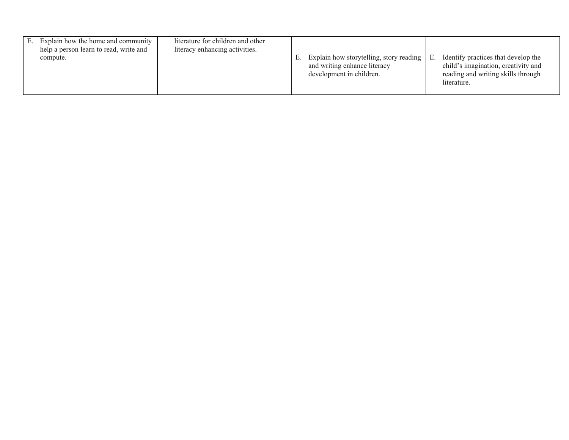|  | Explain how the home and community<br>help a person learn to read, write and<br>compute. | literature for children and other<br>literacy enhancing activities. | E. | Explain how storytelling, story reading<br>and writing enhance literacy<br>development in children. | Е. | Identify practices that develop the<br>child's imagination, creativity and<br>reading and writing skills through<br>literature. |
|--|------------------------------------------------------------------------------------------|---------------------------------------------------------------------|----|-----------------------------------------------------------------------------------------------------|----|---------------------------------------------------------------------------------------------------------------------------------|
|--|------------------------------------------------------------------------------------------|---------------------------------------------------------------------|----|-----------------------------------------------------------------------------------------------------|----|---------------------------------------------------------------------------------------------------------------------------------|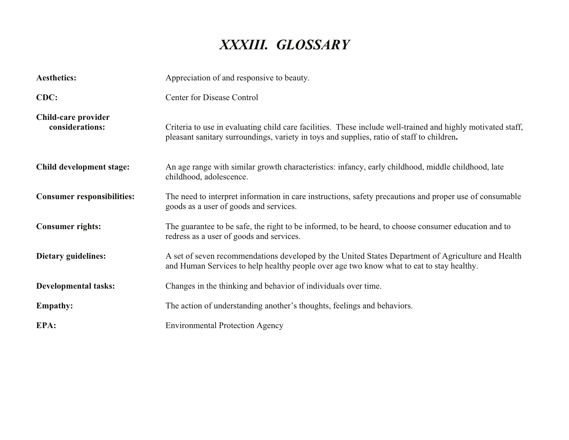## *XXXIII. GLOSSARY*

|                                        | XXXIII. GLOSSARY                                                                                                                                                                                         |
|----------------------------------------|----------------------------------------------------------------------------------------------------------------------------------------------------------------------------------------------------------|
| <b>Aesthetics:</b>                     | Appreciation of and responsive to beauty.                                                                                                                                                                |
| CDC:                                   | <b>Center for Disease Control</b>                                                                                                                                                                        |
| Child-care provider<br>considerations: | Criteria to use in evaluating child care facilities. These include well-trained and highly motivated staff,<br>pleasant sanitary surroundings, variety in toys and supplies, ratio of staff to children. |
| Child development stage:               | An age range with similar growth characteristics: infancy, early childhood, middle childhood, late<br>childhood, adolescence.                                                                            |
| <b>Consumer responsibilities:</b>      | The need to interpret information in care instructions, safety precautions and proper use of consumable<br>goods as a user of goods and services.                                                        |
| <b>Consumer rights:</b>                | The guarantee to be safe, the right to be informed, to be heard, to choose consumer education and to<br>redress as a user of goods and services.                                                         |
| Dietary guidelines:                    | A set of seven recommendations developed by the United States Department of Agriculture and Health<br>and Human Services to help healthy people over age two know what to eat to stay healthy.           |
| <b>Developmental tasks:</b>            | Changes in the thinking and behavior of individuals over time.                                                                                                                                           |
| <b>Empathy:</b>                        | The action of understanding another's thoughts, feelings and behaviors.                                                                                                                                  |
| EPA:                                   | <b>Environmental Protection Agency</b>                                                                                                                                                                   |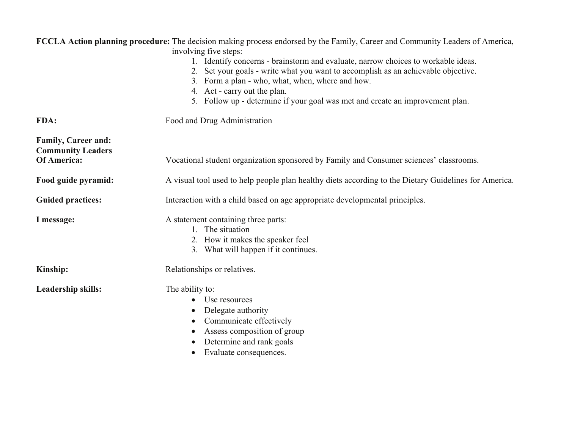|                                                        | FCCLA Action planning procedure: The decision making process endorsed by the Family, Career and Community Leaders of America,<br>involving five steps:                                                                                                                                                                                      |
|--------------------------------------------------------|---------------------------------------------------------------------------------------------------------------------------------------------------------------------------------------------------------------------------------------------------------------------------------------------------------------------------------------------|
|                                                        | 1. Identify concerns - brainstorm and evaluate, narrow choices to workable ideas.<br>2. Set your goals - write what you want to accomplish as an achievable objective.<br>3. Form a plan - who, what, when, where and how.<br>4. Act - carry out the plan.<br>5. Follow up - determine if your goal was met and create an improvement plan. |
| FDA:                                                   | Food and Drug Administration                                                                                                                                                                                                                                                                                                                |
| <b>Family, Career and:</b><br><b>Community Leaders</b> |                                                                                                                                                                                                                                                                                                                                             |
| Of America:                                            | Vocational student organization sponsored by Family and Consumer sciences' classrooms.                                                                                                                                                                                                                                                      |
| Food guide pyramid:                                    | A visual tool used to help people plan healthy diets according to the Dietary Guidelines for America.                                                                                                                                                                                                                                       |
| <b>Guided practices:</b>                               | Interaction with a child based on age appropriate developmental principles.                                                                                                                                                                                                                                                                 |
| I message:                                             | A statement containing three parts:<br>1. The situation<br>2. How it makes the speaker feel<br>3. What will happen if it continues.                                                                                                                                                                                                         |
| Kinship:                                               | Relationships or relatives.                                                                                                                                                                                                                                                                                                                 |
| Leadership skills:                                     | The ability to:<br>Use resources<br>$\bullet$<br>Delegate authority<br>Communicate effectively<br>$\bullet$<br>Assess composition of group<br>$\bullet$<br>Determine and rank goals<br>Evaluate consequences.                                                                                                                               |